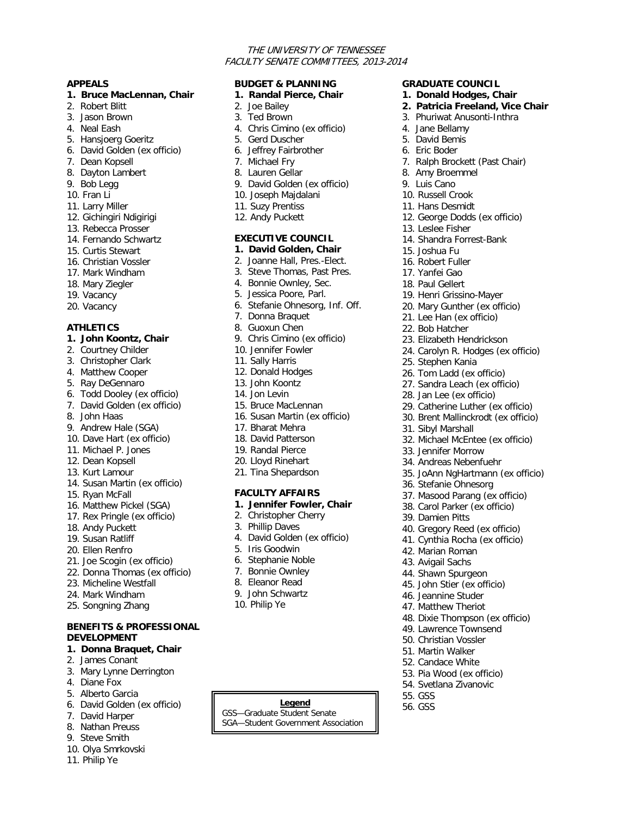### THE UNIVERSITY OF TENNESSEE FACULTY SENATE COMMITTEES, 2013-2014

**GRADUATE COUNCIL 1. Donald Hodges, Chair 2. Patricia Freeland, Vice Chair** 3. Phuriwat Anusonti-Inthra

7. Ralph Brockett (Past Chair)

12. George Dodds (ex officio)

14. Shandra Forrest-Bank

19. Henri Grissino-Mayer 20. Mary Gunther (ex officio) 21. Lee Han (ex officio) 22. Bob Hatcher

23. Elizabeth Hendrickson 24. Carolyn R. Hodges (ex officio)

29. Catherine Luther (ex officio) 30. Brent Mallinckrodt (ex officio)

32. Michael McEntee (ex officio)

35. JoAnn NgHartmann (ex officio)

37. Masood Parang (ex officio) 38. Carol Parker (ex officio)

40. Gregory Reed (ex officio) 41. Cynthia Rocha (ex officio)

48. Dixie Thompson (ex officio) 49. Lawrence Townsend 50. Christian Vossler 51. Martin Walker 52. Candace White 53. Pia Wood (ex officio) 54. Svetlana Zivanovic

25. Stephen Kania 26. Tom Ladd (ex officio) 27. Sandra Leach (ex officio) 28. Jan Lee (ex officio)

31. Sibyl Marshall

33. Jennifer Morrow 34. Andreas Nebenfuehr

36. Stefanie Ohnesorg

39. Damien Pitts

42. Marian Roman 43. Avigail Sachs 44. Shawn Spurgeon 45. John Stier (ex officio) 46. Jeannine Studer 47. Matthew Theriot

55. GSS

**Legend 1** 56. GSS

4. Jane Bellamy 5. David Bemis 6. Eric Boder

8. Amy Broemmel 9. Luis Cano 10. Russell Crook 11. Hans Desmidt

13. Leslee Fisher

15. Joshua Fu 16. Robert Fuller 17. Yanfei Gao 18. Paul Gellert

#### **APPEALS**

#### **1. Bruce MacLennan, Chair**

- 2. Robert Blitt
- 3. Jason Brown
- 4. Neal Eash
- 5. Hansjoerg Goeritz
- 6. David Golden (ex officio)
- 7. Dean Kopsell
- 8. Dayton Lambert
- 9. Bob Legg
- 10. Fran Li
- 11. Larry Miller
- 12. Gichingiri Ndigirigi
- 13. Rebecca Prosser
- 14. Fernando Schwartz
- 15. Curtis Stewart
- 16. Christian Vossler
- 17. Mark Windham
- 18. Mary Ziegler
- 19. Vacancy
- 20. Vacancy

#### **ATHLETICS**

- **1. John Koontz, Chair**
- 2. Courtney Childer
- 3. Christopher Clark
- 4. Matthew Cooper
- 5. Ray DeGennaro
- 6. Todd Dooley (ex officio)
- 7. David Golden (ex officio)
- 8. John Haas
- 9. Andrew Hale (SGA)
- 10. Dave Hart (ex officio)
- 11. Michael P. Jones
- 12. Dean Kopsell
- 13. Kurt Lamour
- 14. Susan Martin (ex officio)
- 15. Ryan McFall
- 16. Matthew Pickel (SGA)
- 17. Rex Pringle (ex officio)
- 18. Andy Puckett
- 19. Susan Ratliff
- 20. Ellen Renfro
- 21. Joe Scogin (ex officio)
- 22. Donna Thomas (ex officio)
- 23. Micheline Westfall
- 24. Mark Windham
- 25. Songning Zhang

## **BENEFITS & PROFESSIONAL DEVELOPMENT**

- **1. Donna Braquet, Chair**
- 2. James Conant
- 3. Mary Lynne Derrington
- 4. Diane Fox
- 5. Alberto Garcia
- 6. David Golden (ex officio)
- 7. David Harper
- 8. Nathan Preuss
- 
- 
- 
- 9. Steve Smith
- 10. Olya Smrkovski
- 11. Philip Ye

# **BUDGET & PLANNING**

- **1. Randal Pierce, Chair**
- 2. Joe Bailey
- 3. Ted Brown
- 4. Chris Cimino (ex officio)
- 5. Gerd Duscher
- 6. Jeffrey Fairbrother
- 7. Michael Fry
- 8. Lauren Gellar
- 9. David Golden (ex officio)
- 10. Joseph Majdalani
- 11. Suzy Prentiss
- 12. Andy Puckett

# **EXECUTIVE COUNCIL**

- **1. David Golden, Chair**
- 2. Joanne Hall, Pres.-Elect.
- 3. Steve Thomas, Past Pres.
- 4. Bonnie Ownley, Sec.
- 5. Jessica Poore, Parl.
- 6. Stefanie Ohnesorg, Inf. Off.
- 7. Donna Braquet
- 8. Guoxun Chen
- 9. Chris Cimino (ex officio)
- 10. Jennifer Fowler
- 11. Sally Harris
- 12. Donald Hodges
- 13. John Koontz
- 14. Jon Levin
- 15. Bruce MacLennan 16. Susan Martin (ex officio)
- 17. Bharat Mehra
- 18. David Patterson
- 
- 19. Randal Pierce

3. Phillip Daves

5. Iris Goodwin 6. Stephanie Noble 7. Bonnie Ownley 8. Eleanor Read 9. John Schwartz 10. Philip Ye

20. Lloyd Rinehart 21. Tina Shepardson

#### **FACULTY AFFAIRS 1. Jennifer Fowler, Chair**

4. David Golden (ex officio)

2. Christopher Cherry

GSS—Graduate Student Senate SGA—Student Government Association